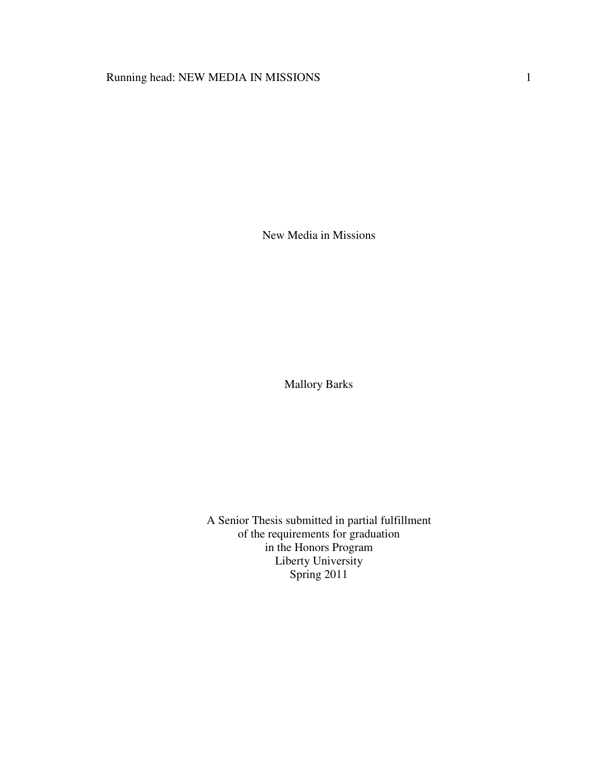# Running head: NEW MEDIA IN MISSIONS 1

New Media in Missions

Mallory Barks

A Senior Thesis submitted in partial fulfillment of the requirements for graduation in the Honors Program Liberty University Spring 2011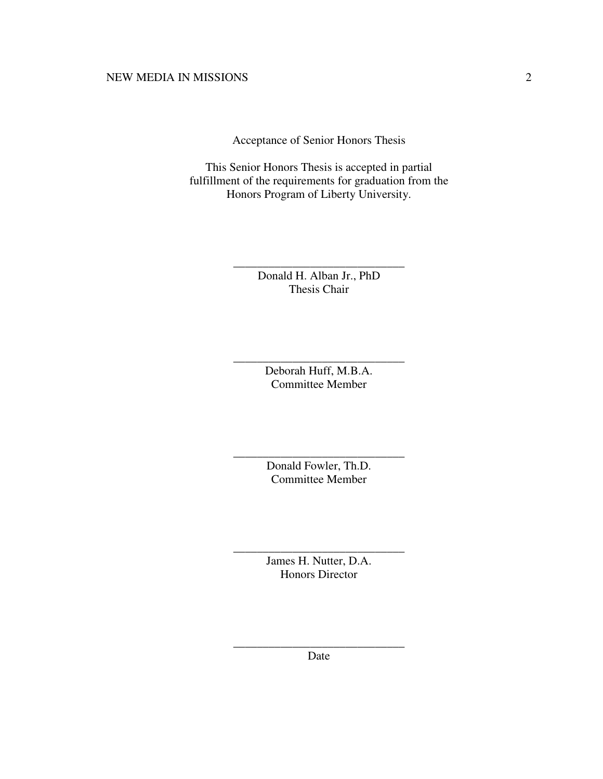Acceptance of Senior Honors Thesis

This Senior Honors Thesis is accepted in partial fulfillment of the requirements for graduation from the Honors Program of Liberty University.

> Donald H. Alban Jr., PhD Thesis Chair

\_\_\_\_\_\_\_\_\_\_\_\_\_\_\_\_\_\_\_\_\_\_\_\_\_\_\_\_\_

Deborah Huff, M.B.A. Committee Member

\_\_\_\_\_\_\_\_\_\_\_\_\_\_\_\_\_\_\_\_\_\_\_\_\_\_\_\_\_

Donald Fowler, Th.D. Committee Member

\_\_\_\_\_\_\_\_\_\_\_\_\_\_\_\_\_\_\_\_\_\_\_\_\_\_\_\_\_

James H. Nutter, D.A. Honors Director

\_\_\_\_\_\_\_\_\_\_\_\_\_\_\_\_\_\_\_\_\_\_\_\_\_\_\_\_\_

\_\_\_\_\_\_\_\_\_\_\_\_\_\_\_\_\_\_\_\_\_\_\_\_\_\_\_\_\_ Date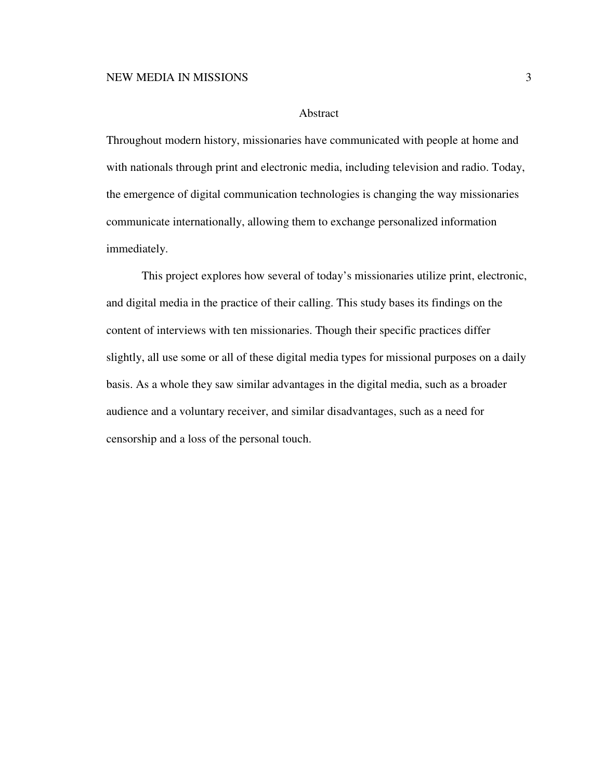#### Abstract

Throughout modern history, missionaries have communicated with people at home and with nationals through print and electronic media, including television and radio. Today, the emergence of digital communication technologies is changing the way missionaries communicate internationally, allowing them to exchange personalized information immediately.

 This project explores how several of today's missionaries utilize print, electronic, and digital media in the practice of their calling. This study bases its findings on the content of interviews with ten missionaries. Though their specific practices differ slightly, all use some or all of these digital media types for missional purposes on a daily basis. As a whole they saw similar advantages in the digital media, such as a broader audience and a voluntary receiver, and similar disadvantages, such as a need for censorship and a loss of the personal touch.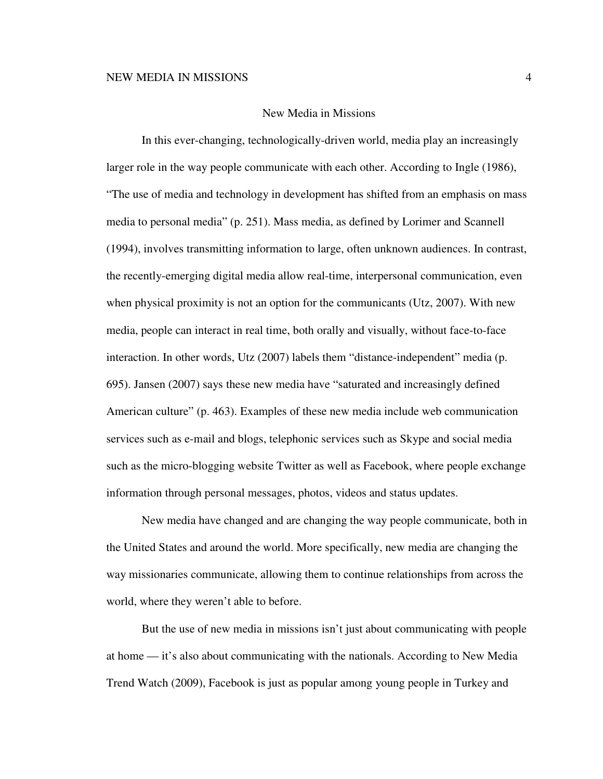### New Media in Missions

In this ever-changing, technologically-driven world, media play an increasingly larger role in the way people communicate with each other. According to Ingle (1986), "The use of media and technology in development has shifted from an emphasis on mass media to personal media" (p. 251). Mass media, as defined by Lorimer and Scannell (1994), involves transmitting information to large, often unknown audiences. In contrast, the recently-emerging digital media allow real-time, interpersonal communication, even when physical proximity is not an option for the communicants (Utz, 2007). With new media, people can interact in real time, both orally and visually, without face-to-face interaction. In other words, Utz (2007) labels them "distance-independent" media (p. 695). Jansen (2007) says these new media have "saturated and increasingly defined American culture" (p. 463). Examples of these new media include web communication services such as e-mail and blogs, telephonic services such as Skype and social media such as the micro-blogging website Twitter as well as Facebook, where people exchange information through personal messages, photos, videos and status updates.

New media have changed and are changing the way people communicate, both in the United States and around the world. More specifically, new media are changing the way missionaries communicate, allowing them to continue relationships from across the world, where they weren't able to before.

But the use of new media in missions isn't just about communicating with people at home — it's also about communicating with the nationals. According to New Media Trend Watch (2009), Facebook is just as popular among young people in Turkey and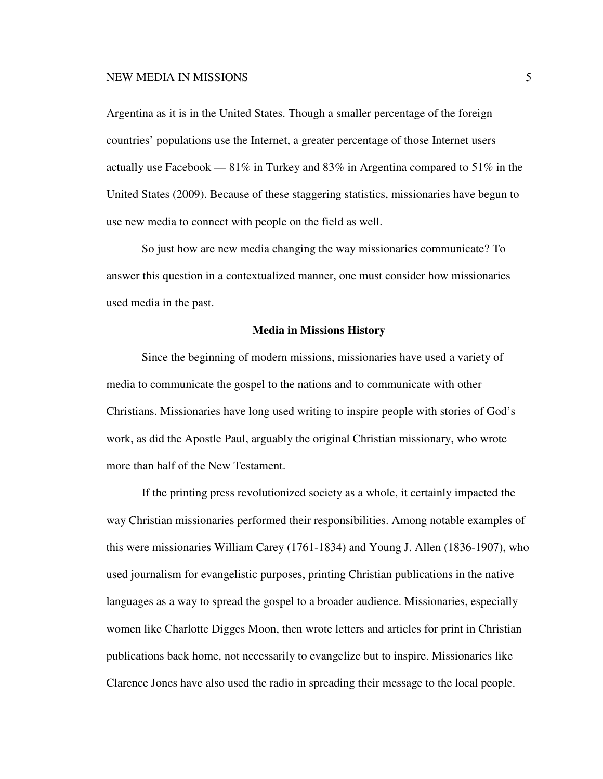Argentina as it is in the United States. Though a smaller percentage of the foreign countries' populations use the Internet, a greater percentage of those Internet users actually use Facebook — 81% in Turkey and 83% in Argentina compared to 51% in the United States (2009). Because of these staggering statistics, missionaries have begun to use new media to connect with people on the field as well.

So just how are new media changing the way missionaries communicate? To answer this question in a contextualized manner, one must consider how missionaries used media in the past.

## **Media in Missions History**

Since the beginning of modern missions, missionaries have used a variety of media to communicate the gospel to the nations and to communicate with other Christians. Missionaries have long used writing to inspire people with stories of God's work, as did the Apostle Paul, arguably the original Christian missionary, who wrote more than half of the New Testament.

If the printing press revolutionized society as a whole, it certainly impacted the way Christian missionaries performed their responsibilities. Among notable examples of this were missionaries William Carey (1761-1834) and Young J. Allen (1836-1907), who used journalism for evangelistic purposes, printing Christian publications in the native languages as a way to spread the gospel to a broader audience. Missionaries, especially women like Charlotte Digges Moon, then wrote letters and articles for print in Christian publications back home, not necessarily to evangelize but to inspire. Missionaries like Clarence Jones have also used the radio in spreading their message to the local people.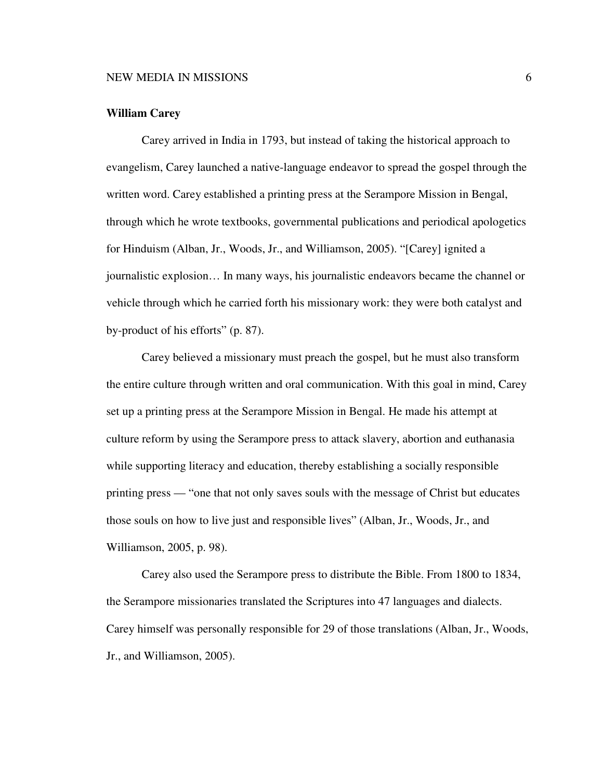## **William Carey**

Carey arrived in India in 1793, but instead of taking the historical approach to evangelism, Carey launched a native-language endeavor to spread the gospel through the written word. Carey established a printing press at the Serampore Mission in Bengal, through which he wrote textbooks, governmental publications and periodical apologetics for Hinduism (Alban, Jr., Woods, Jr., and Williamson, 2005). "[Carey] ignited a journalistic explosion… In many ways, his journalistic endeavors became the channel or vehicle through which he carried forth his missionary work: they were both catalyst and by-product of his efforts" (p. 87).

Carey believed a missionary must preach the gospel, but he must also transform the entire culture through written and oral communication. With this goal in mind, Carey set up a printing press at the Serampore Mission in Bengal. He made his attempt at culture reform by using the Serampore press to attack slavery, abortion and euthanasia while supporting literacy and education, thereby establishing a socially responsible printing press — "one that not only saves souls with the message of Christ but educates those souls on how to live just and responsible lives" (Alban, Jr., Woods, Jr., and Williamson, 2005, p. 98).

Carey also used the Serampore press to distribute the Bible. From 1800 to 1834, the Serampore missionaries translated the Scriptures into 47 languages and dialects. Carey himself was personally responsible for 29 of those translations (Alban, Jr., Woods, Jr., and Williamson, 2005).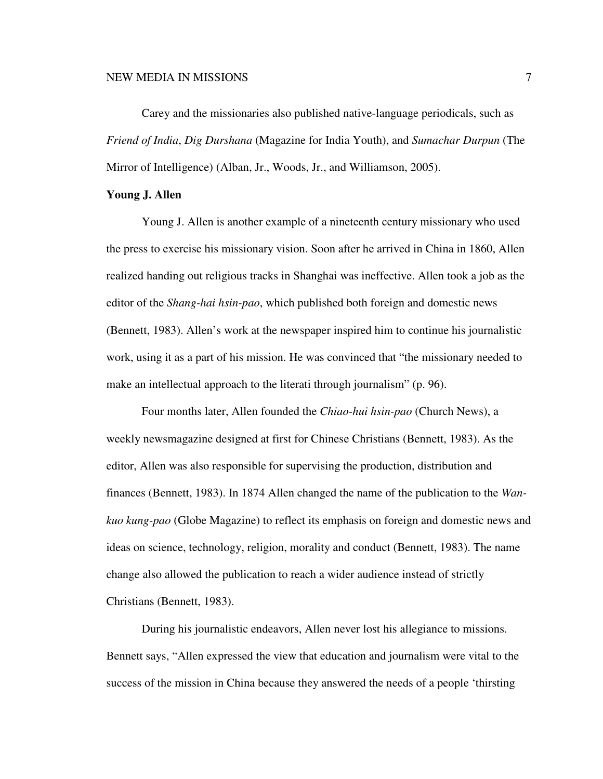Carey and the missionaries also published native-language periodicals, such as *Friend of India*, *Dig Durshana* (Magazine for India Youth), and *Sumachar Durpun* (The Mirror of Intelligence) (Alban, Jr., Woods, Jr., and Williamson, 2005).

## **Young J. Allen**

Young J. Allen is another example of a nineteenth century missionary who used the press to exercise his missionary vision. Soon after he arrived in China in 1860, Allen realized handing out religious tracks in Shanghai was ineffective. Allen took a job as the editor of the *Shang-hai hsin-pao*, which published both foreign and domestic news (Bennett, 1983). Allen's work at the newspaper inspired him to continue his journalistic work, using it as a part of his mission. He was convinced that "the missionary needed to make an intellectual approach to the literati through journalism" (p. 96).

Four months later, Allen founded the *Chiao-hui hsin-pao* (Church News), a weekly newsmagazine designed at first for Chinese Christians (Bennett, 1983). As the editor, Allen was also responsible for supervising the production, distribution and finances (Bennett, 1983). In 1874 Allen changed the name of the publication to the *Wankuo kung-pao* (Globe Magazine) to reflect its emphasis on foreign and domestic news and ideas on science, technology, religion, morality and conduct (Bennett, 1983). The name change also allowed the publication to reach a wider audience instead of strictly Christians (Bennett, 1983).

During his journalistic endeavors, Allen never lost his allegiance to missions. Bennett says, "Allen expressed the view that education and journalism were vital to the success of the mission in China because they answered the needs of a people 'thirsting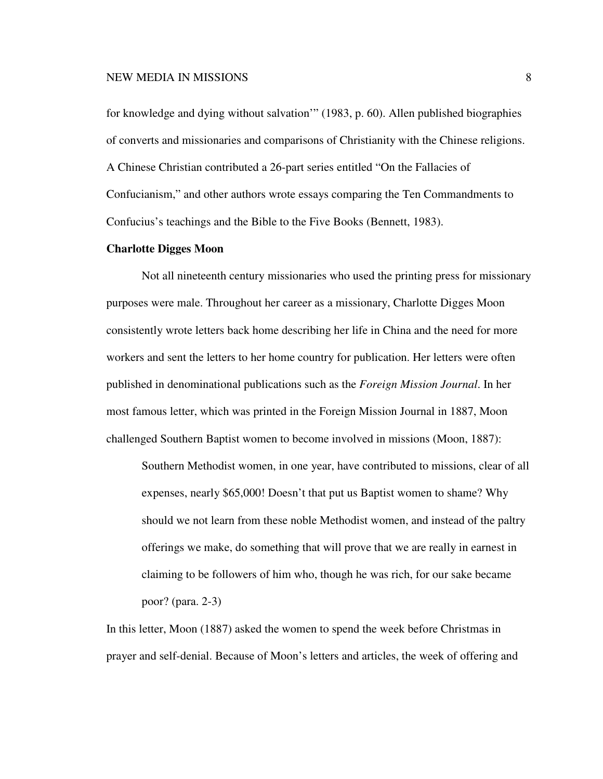for knowledge and dying without salvation'" (1983, p. 60). Allen published biographies of converts and missionaries and comparisons of Christianity with the Chinese religions. A Chinese Christian contributed a 26-part series entitled "On the Fallacies of Confucianism," and other authors wrote essays comparing the Ten Commandments to Confucius's teachings and the Bible to the Five Books (Bennett, 1983).

## **Charlotte Digges Moon**

Not all nineteenth century missionaries who used the printing press for missionary purposes were male. Throughout her career as a missionary, Charlotte Digges Moon consistently wrote letters back home describing her life in China and the need for more workers and sent the letters to her home country for publication. Her letters were often published in denominational publications such as the *Foreign Mission Journal*. In her most famous letter, which was printed in the Foreign Mission Journal in 1887, Moon challenged Southern Baptist women to become involved in missions (Moon, 1887):

Southern Methodist women, in one year, have contributed to missions, clear of all expenses, nearly \$65,000! Doesn't that put us Baptist women to shame? Why should we not learn from these noble Methodist women, and instead of the paltry offerings we make, do something that will prove that we are really in earnest in claiming to be followers of him who, though he was rich, for our sake became poor? (para. 2-3)

In this letter, Moon (1887) asked the women to spend the week before Christmas in prayer and self-denial. Because of Moon's letters and articles, the week of offering and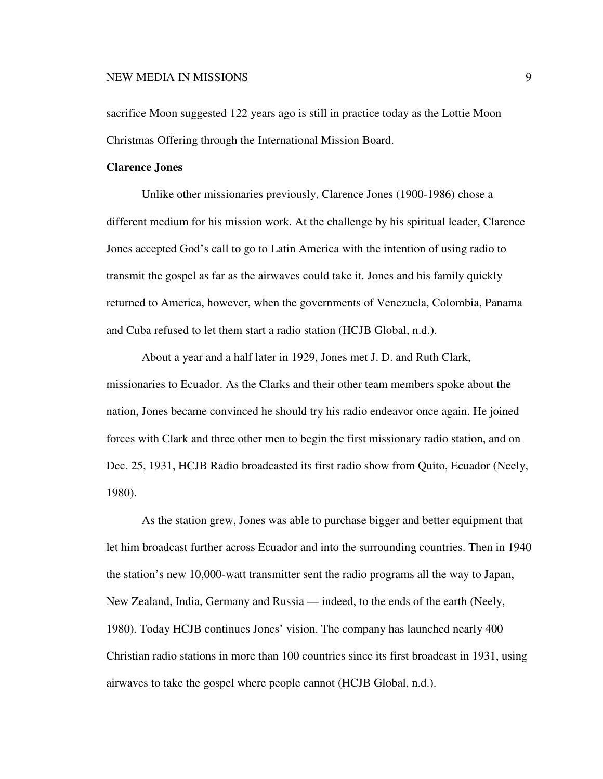sacrifice Moon suggested 122 years ago is still in practice today as the Lottie Moon Christmas Offering through the International Mission Board.

## **Clarence Jones**

Unlike other missionaries previously, Clarence Jones (1900-1986) chose a different medium for his mission work. At the challenge by his spiritual leader, Clarence Jones accepted God's call to go to Latin America with the intention of using radio to transmit the gospel as far as the airwaves could take it. Jones and his family quickly returned to America, however, when the governments of Venezuela, Colombia, Panama and Cuba refused to let them start a radio station (HCJB Global, n.d.).

About a year and a half later in 1929, Jones met J. D. and Ruth Clark, missionaries to Ecuador. As the Clarks and their other team members spoke about the nation, Jones became convinced he should try his radio endeavor once again. He joined forces with Clark and three other men to begin the first missionary radio station, and on Dec. 25, 1931, HCJB Radio broadcasted its first radio show from Quito, Ecuador (Neely, 1980).

As the station grew, Jones was able to purchase bigger and better equipment that let him broadcast further across Ecuador and into the surrounding countries. Then in 1940 the station's new 10,000-watt transmitter sent the radio programs all the way to Japan, New Zealand, India, Germany and Russia — indeed, to the ends of the earth (Neely, 1980). Today HCJB continues Jones' vision. The company has launched nearly 400 Christian radio stations in more than 100 countries since its first broadcast in 1931, using airwaves to take the gospel where people cannot (HCJB Global, n.d.).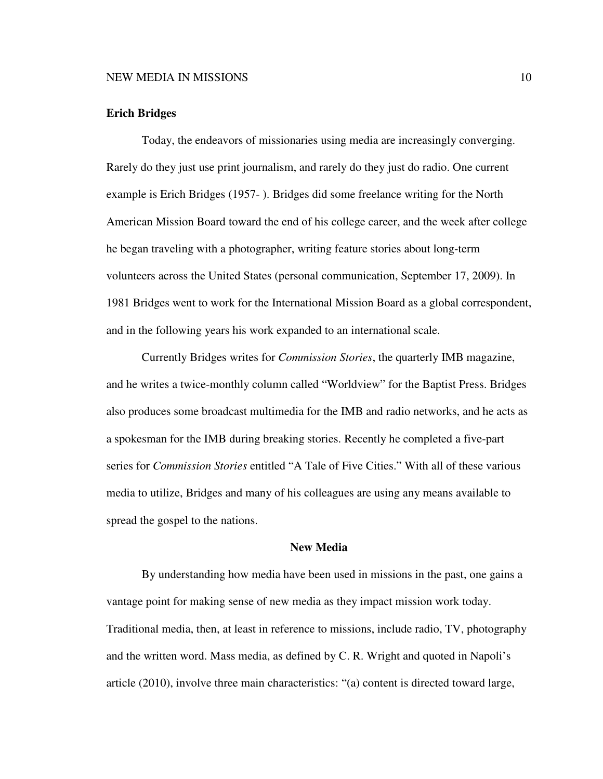## **Erich Bridges**

Today, the endeavors of missionaries using media are increasingly converging. Rarely do they just use print journalism, and rarely do they just do radio. One current example is Erich Bridges (1957- ). Bridges did some freelance writing for the North American Mission Board toward the end of his college career, and the week after college he began traveling with a photographer, writing feature stories about long-term volunteers across the United States (personal communication, September 17, 2009). In 1981 Bridges went to work for the International Mission Board as a global correspondent, and in the following years his work expanded to an international scale.

Currently Bridges writes for *Commission Stories*, the quarterly IMB magazine, and he writes a twice-monthly column called "Worldview" for the Baptist Press. Bridges also produces some broadcast multimedia for the IMB and radio networks, and he acts as a spokesman for the IMB during breaking stories. Recently he completed a five-part series for *Commission Stories* entitled "A Tale of Five Cities." With all of these various media to utilize, Bridges and many of his colleagues are using any means available to spread the gospel to the nations.

## **New Media**

By understanding how media have been used in missions in the past, one gains a vantage point for making sense of new media as they impact mission work today. Traditional media, then, at least in reference to missions, include radio, TV, photography and the written word. Mass media, as defined by C. R. Wright and quoted in Napoli's article (2010), involve three main characteristics: "(a) content is directed toward large,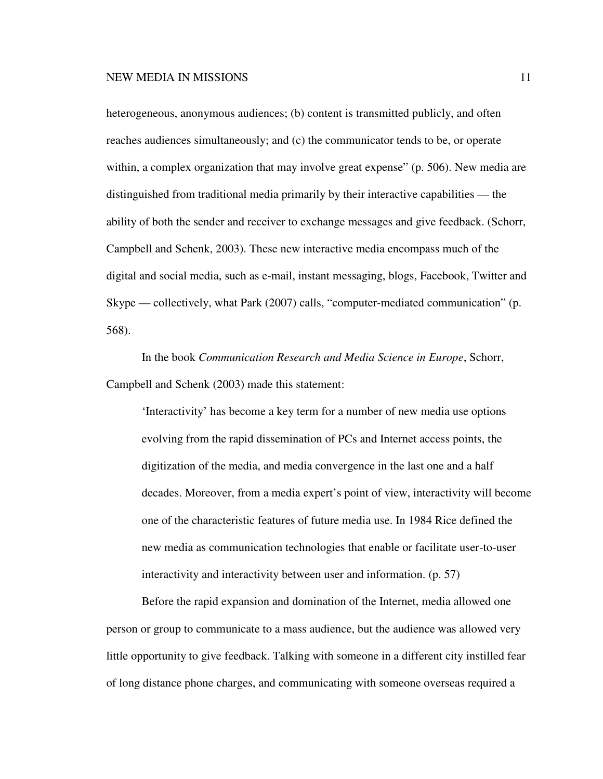heterogeneous, anonymous audiences; (b) content is transmitted publicly, and often reaches audiences simultaneously; and (c) the communicator tends to be, or operate within, a complex organization that may involve great expense" (p. 506). New media are distinguished from traditional media primarily by their interactive capabilities — the ability of both the sender and receiver to exchange messages and give feedback. (Schorr, Campbell and Schenk, 2003). These new interactive media encompass much of the digital and social media, such as e-mail, instant messaging, blogs, Facebook, Twitter and Skype — collectively, what Park (2007) calls, "computer-mediated communication" (p. 568).

In the book *Communication Research and Media Science in Europe*, Schorr, Campbell and Schenk (2003) made this statement:

'Interactivity' has become a key term for a number of new media use options evolving from the rapid dissemination of PCs and Internet access points, the digitization of the media, and media convergence in the last one and a half decades. Moreover, from a media expert's point of view, interactivity will become one of the characteristic features of future media use. In 1984 Rice defined the new media as communication technologies that enable or facilitate user-to-user interactivity and interactivity between user and information. (p. 57)

Before the rapid expansion and domination of the Internet, media allowed one person or group to communicate to a mass audience, but the audience was allowed very little opportunity to give feedback. Talking with someone in a different city instilled fear of long distance phone charges, and communicating with someone overseas required a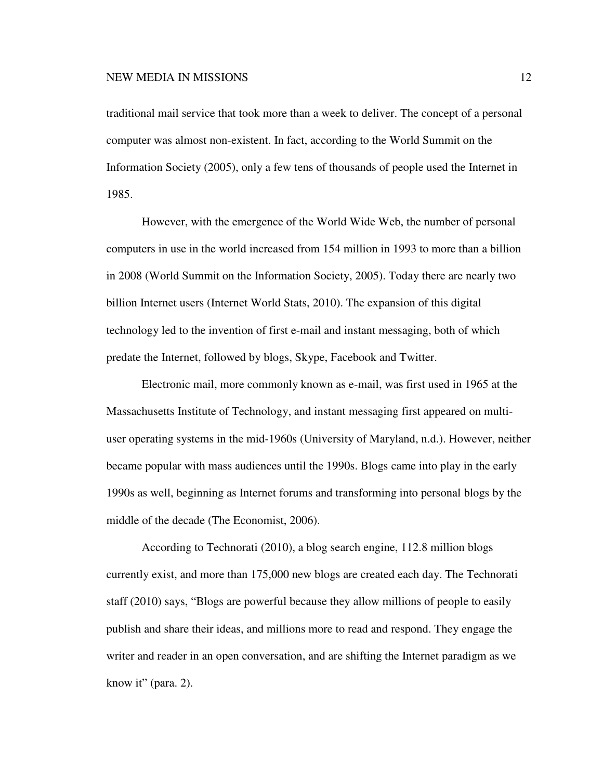traditional mail service that took more than a week to deliver. The concept of a personal computer was almost non-existent. In fact, according to the World Summit on the Information Society (2005), only a few tens of thousands of people used the Internet in 1985.

However, with the emergence of the World Wide Web, the number of personal computers in use in the world increased from 154 million in 1993 to more than a billion in 2008 (World Summit on the Information Society, 2005). Today there are nearly two billion Internet users (Internet World Stats, 2010). The expansion of this digital technology led to the invention of first e-mail and instant messaging, both of which predate the Internet, followed by blogs, Skype, Facebook and Twitter.

Electronic mail, more commonly known as e-mail, was first used in 1965 at the Massachusetts Institute of Technology, and instant messaging first appeared on multiuser operating systems in the mid-1960s (University of Maryland, n.d.). However, neither became popular with mass audiences until the 1990s. Blogs came into play in the early 1990s as well, beginning as Internet forums and transforming into personal blogs by the middle of the decade (The Economist, 2006).

According to Technorati (2010), a blog search engine, 112.8 million blogs currently exist, and more than 175,000 new blogs are created each day. The Technorati staff (2010) says, "Blogs are powerful because they allow millions of people to easily publish and share their ideas, and millions more to read and respond. They engage the writer and reader in an open conversation, and are shifting the Internet paradigm as we know it" (para. 2).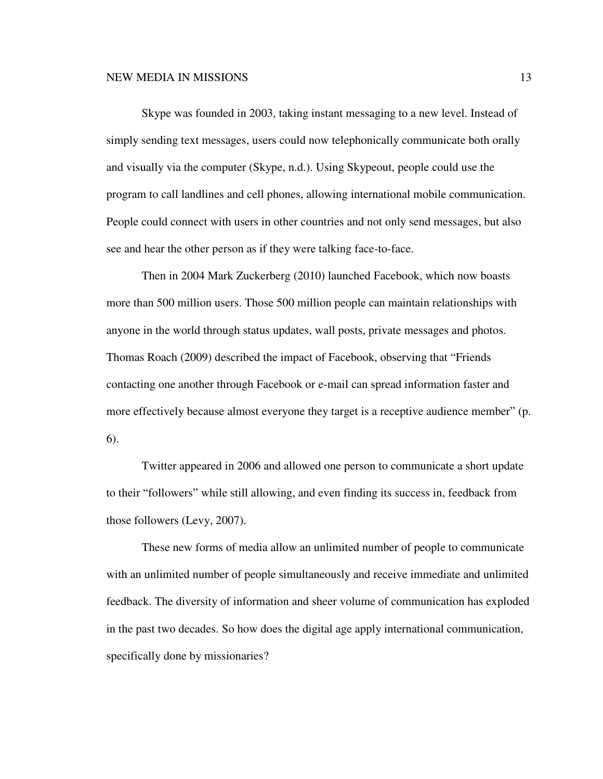Skype was founded in 2003, taking instant messaging to a new level. Instead of simply sending text messages, users could now telephonically communicate both orally and visually via the computer (Skype, n.d.). Using Skypeout, people could use the program to call landlines and cell phones, allowing international mobile communication. People could connect with users in other countries and not only send messages, but also see and hear the other person as if they were talking face-to-face.

Then in 2004 Mark Zuckerberg (2010) launched Facebook, which now boasts more than 500 million users. Those 500 million people can maintain relationships with anyone in the world through status updates, wall posts, private messages and photos. Thomas Roach (2009) described the impact of Facebook, observing that "Friends contacting one another through Facebook or e-mail can spread information faster and more effectively because almost everyone they target is a receptive audience member" (p. 6).

Twitter appeared in 2006 and allowed one person to communicate a short update to their "followers" while still allowing, and even finding its success in, feedback from those followers (Levy, 2007).

These new forms of media allow an unlimited number of people to communicate with an unlimited number of people simultaneously and receive immediate and unlimited feedback. The diversity of information and sheer volume of communication has exploded in the past two decades. So how does the digital age apply international communication, specifically done by missionaries?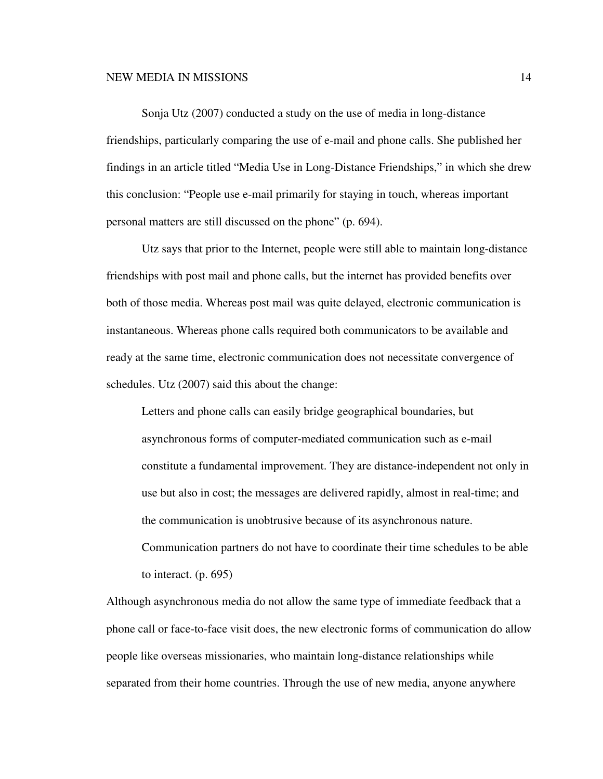Sonja Utz (2007) conducted a study on the use of media in long-distance friendships, particularly comparing the use of e-mail and phone calls. She published her findings in an article titled "Media Use in Long-Distance Friendships," in which she drew this conclusion: "People use e-mail primarily for staying in touch, whereas important personal matters are still discussed on the phone" (p. 694).

Utz says that prior to the Internet, people were still able to maintain long-distance friendships with post mail and phone calls, but the internet has provided benefits over both of those media. Whereas post mail was quite delayed, electronic communication is instantaneous. Whereas phone calls required both communicators to be available and ready at the same time, electronic communication does not necessitate convergence of schedules. Utz (2007) said this about the change:

Letters and phone calls can easily bridge geographical boundaries, but asynchronous forms of computer-mediated communication such as e-mail constitute a fundamental improvement. They are distance-independent not only in use but also in cost; the messages are delivered rapidly, almost in real-time; and the communication is unobtrusive because of its asynchronous nature. Communication partners do not have to coordinate their time schedules to be able to interact. (p. 695)

Although asynchronous media do not allow the same type of immediate feedback that a phone call or face-to-face visit does, the new electronic forms of communication do allow people like overseas missionaries, who maintain long-distance relationships while separated from their home countries. Through the use of new media, anyone anywhere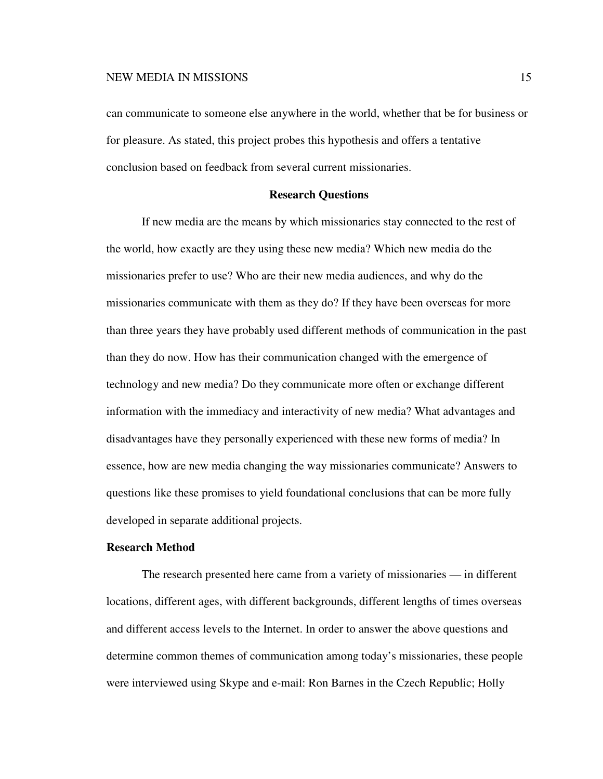can communicate to someone else anywhere in the world, whether that be for business or for pleasure. As stated, this project probes this hypothesis and offers a tentative conclusion based on feedback from several current missionaries.

## **Research Questions**

If new media are the means by which missionaries stay connected to the rest of the world, how exactly are they using these new media? Which new media do the missionaries prefer to use? Who are their new media audiences, and why do the missionaries communicate with them as they do? If they have been overseas for more than three years they have probably used different methods of communication in the past than they do now. How has their communication changed with the emergence of technology and new media? Do they communicate more often or exchange different information with the immediacy and interactivity of new media? What advantages and disadvantages have they personally experienced with these new forms of media? In essence, how are new media changing the way missionaries communicate? Answers to questions like these promises to yield foundational conclusions that can be more fully developed in separate additional projects.

## **Research Method**

The research presented here came from a variety of missionaries — in different locations, different ages, with different backgrounds, different lengths of times overseas and different access levels to the Internet. In order to answer the above questions and determine common themes of communication among today's missionaries, these people were interviewed using Skype and e-mail: Ron Barnes in the Czech Republic; Holly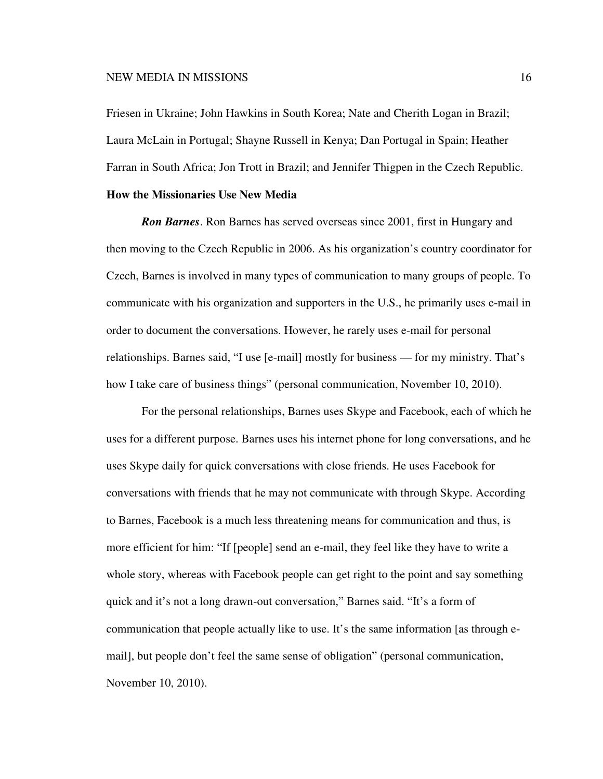Friesen in Ukraine; John Hawkins in South Korea; Nate and Cherith Logan in Brazil; Laura McLain in Portugal; Shayne Russell in Kenya; Dan Portugal in Spain; Heather Farran in South Africa; Jon Trott in Brazil; and Jennifer Thigpen in the Czech Republic. **How the Missionaries Use New Media** 

*Ron Barnes*. Ron Barnes has served overseas since 2001, first in Hungary and then moving to the Czech Republic in 2006. As his organization's country coordinator for Czech, Barnes is involved in many types of communication to many groups of people. To communicate with his organization and supporters in the U.S., he primarily uses e-mail in order to document the conversations. However, he rarely uses e-mail for personal relationships. Barnes said, "I use [e-mail] mostly for business — for my ministry. That's how I take care of business things" (personal communication, November 10, 2010).

For the personal relationships, Barnes uses Skype and Facebook, each of which he uses for a different purpose. Barnes uses his internet phone for long conversations, and he uses Skype daily for quick conversations with close friends. He uses Facebook for conversations with friends that he may not communicate with through Skype. According to Barnes, Facebook is a much less threatening means for communication and thus, is more efficient for him: "If [people] send an e-mail, they feel like they have to write a whole story, whereas with Facebook people can get right to the point and say something quick and it's not a long drawn-out conversation," Barnes said. "It's a form of communication that people actually like to use. It's the same information [as through email], but people don't feel the same sense of obligation" (personal communication, November 10, 2010).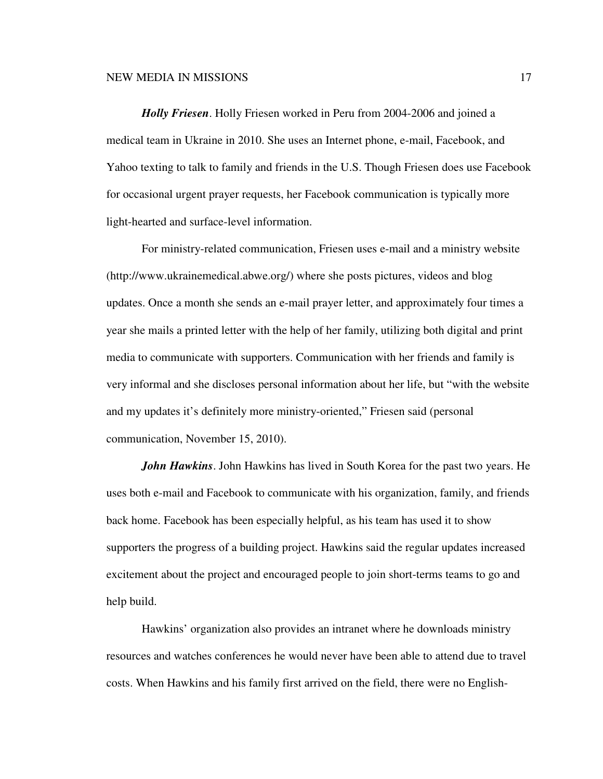*Holly Friesen*. Holly Friesen worked in Peru from 2004-2006 and joined a medical team in Ukraine in 2010. She uses an Internet phone, e-mail, Facebook, and Yahoo texting to talk to family and friends in the U.S. Though Friesen does use Facebook for occasional urgent prayer requests, her Facebook communication is typically more light-hearted and surface-level information.

For ministry-related communication, Friesen uses e-mail and a ministry website (http://www.ukrainemedical.abwe.org/) where she posts pictures, videos and blog updates. Once a month she sends an e-mail prayer letter, and approximately four times a year she mails a printed letter with the help of her family, utilizing both digital and print media to communicate with supporters. Communication with her friends and family is very informal and she discloses personal information about her life, but "with the website and my updates it's definitely more ministry-oriented," Friesen said (personal communication, November 15, 2010).

*John Hawkins*. John Hawkins has lived in South Korea for the past two years. He uses both e-mail and Facebook to communicate with his organization, family, and friends back home. Facebook has been especially helpful, as his team has used it to show supporters the progress of a building project. Hawkins said the regular updates increased excitement about the project and encouraged people to join short-terms teams to go and help build.

Hawkins' organization also provides an intranet where he downloads ministry resources and watches conferences he would never have been able to attend due to travel costs. When Hawkins and his family first arrived on the field, there were no English-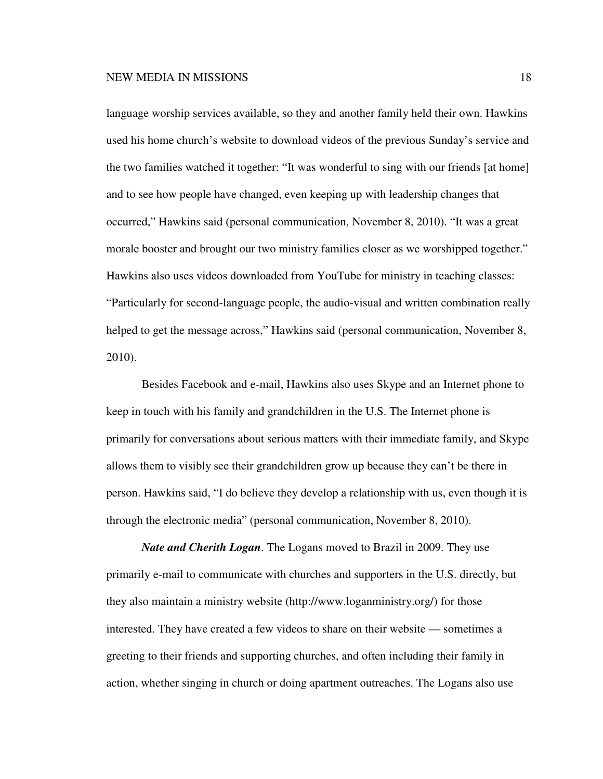language worship services available, so they and another family held their own. Hawkins used his home church's website to download videos of the previous Sunday's service and the two families watched it together: "It was wonderful to sing with our friends [at home] and to see how people have changed, even keeping up with leadership changes that occurred," Hawkins said (personal communication, November 8, 2010). "It was a great morale booster and brought our two ministry families closer as we worshipped together." Hawkins also uses videos downloaded from YouTube for ministry in teaching classes: "Particularly for second-language people, the audio-visual and written combination really helped to get the message across," Hawkins said (personal communication, November 8, 2010).

Besides Facebook and e-mail, Hawkins also uses Skype and an Internet phone to keep in touch with his family and grandchildren in the U.S. The Internet phone is primarily for conversations about serious matters with their immediate family, and Skype allows them to visibly see their grandchildren grow up because they can't be there in person. Hawkins said, "I do believe they develop a relationship with us, even though it is through the electronic media" (personal communication, November 8, 2010).

*Nate and Cherith Logan*. The Logans moved to Brazil in 2009. They use primarily e-mail to communicate with churches and supporters in the U.S. directly, but they also maintain a ministry website (http://www.loganministry.org/) for those interested. They have created a few videos to share on their website — sometimes a greeting to their friends and supporting churches, and often including their family in action, whether singing in church or doing apartment outreaches. The Logans also use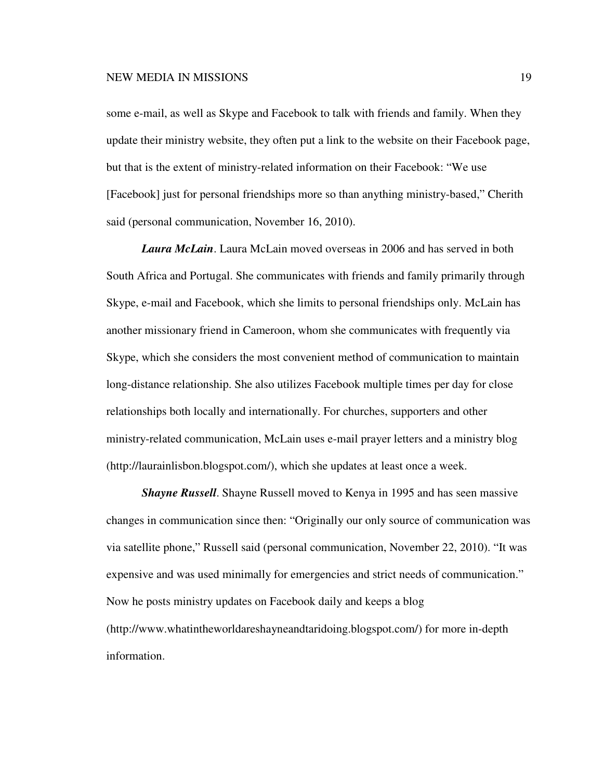some e-mail, as well as Skype and Facebook to talk with friends and family. When they update their ministry website, they often put a link to the website on their Facebook page, but that is the extent of ministry-related information on their Facebook: "We use [Facebook] just for personal friendships more so than anything ministry-based," Cherith said (personal communication, November 16, 2010).

*Laura McLain*. Laura McLain moved overseas in 2006 and has served in both South Africa and Portugal. She communicates with friends and family primarily through Skype, e-mail and Facebook, which she limits to personal friendships only. McLain has another missionary friend in Cameroon, whom she communicates with frequently via Skype, which she considers the most convenient method of communication to maintain long-distance relationship. She also utilizes Facebook multiple times per day for close relationships both locally and internationally. For churches, supporters and other ministry-related communication, McLain uses e-mail prayer letters and a ministry blog (http://laurainlisbon.blogspot.com/), which she updates at least once a week.

*Shayne Russell*. Shayne Russell moved to Kenya in 1995 and has seen massive changes in communication since then: "Originally our only source of communication was via satellite phone," Russell said (personal communication, November 22, 2010). "It was expensive and was used minimally for emergencies and strict needs of communication." Now he posts ministry updates on Facebook daily and keeps a blog (http://www.whatintheworldareshayneandtaridoing.blogspot.com/) for more in-depth information.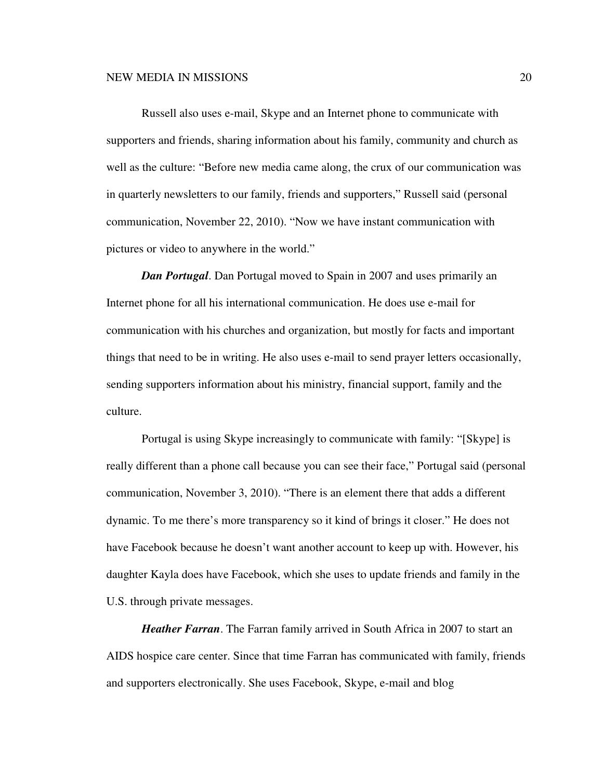Russell also uses e-mail, Skype and an Internet phone to communicate with supporters and friends, sharing information about his family, community and church as well as the culture: "Before new media came along, the crux of our communication was in quarterly newsletters to our family, friends and supporters," Russell said (personal communication, November 22, 2010). "Now we have instant communication with pictures or video to anywhere in the world."

*Dan Portugal*. Dan Portugal moved to Spain in 2007 and uses primarily an Internet phone for all his international communication. He does use e-mail for communication with his churches and organization, but mostly for facts and important things that need to be in writing. He also uses e-mail to send prayer letters occasionally, sending supporters information about his ministry, financial support, family and the culture.

Portugal is using Skype increasingly to communicate with family: "[Skype] is really different than a phone call because you can see their face," Portugal said (personal communication, November 3, 2010). "There is an element there that adds a different dynamic. To me there's more transparency so it kind of brings it closer." He does not have Facebook because he doesn't want another account to keep up with. However, his daughter Kayla does have Facebook, which she uses to update friends and family in the U.S. through private messages.

*Heather Farran*. The Farran family arrived in South Africa in 2007 to start an AIDS hospice care center. Since that time Farran has communicated with family, friends and supporters electronically. She uses Facebook, Skype, e-mail and blog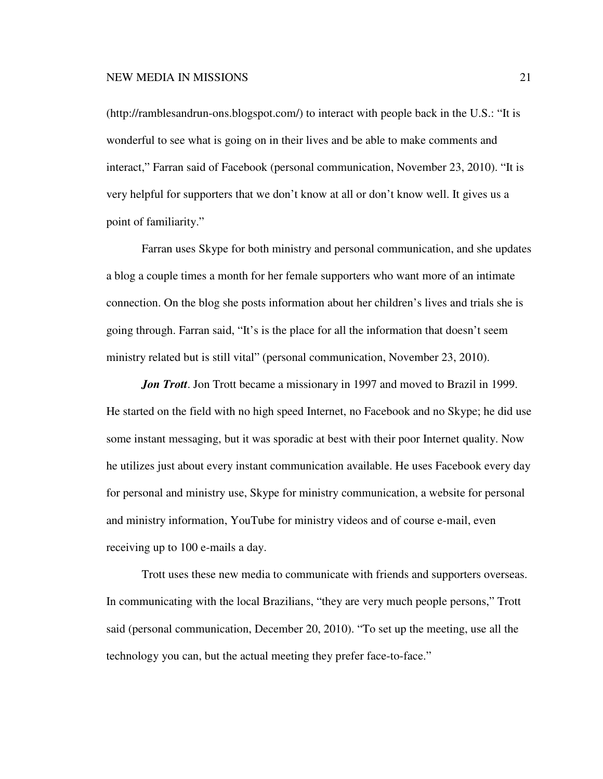(http://ramblesandrun-ons.blogspot.com/) to interact with people back in the U.S.: "It is wonderful to see what is going on in their lives and be able to make comments and interact," Farran said of Facebook (personal communication, November 23, 2010). "It is very helpful for supporters that we don't know at all or don't know well. It gives us a point of familiarity."

Farran uses Skype for both ministry and personal communication, and she updates a blog a couple times a month for her female supporters who want more of an intimate connection. On the blog she posts information about her children's lives and trials she is going through. Farran said, "It's is the place for all the information that doesn't seem ministry related but is still vital" (personal communication, November 23, 2010).

*Jon Trott*. Jon Trott became a missionary in 1997 and moved to Brazil in 1999. He started on the field with no high speed Internet, no Facebook and no Skype; he did use some instant messaging, but it was sporadic at best with their poor Internet quality. Now he utilizes just about every instant communication available. He uses Facebook every day for personal and ministry use, Skype for ministry communication, a website for personal and ministry information, YouTube for ministry videos and of course e-mail, even receiving up to 100 e-mails a day.

Trott uses these new media to communicate with friends and supporters overseas. In communicating with the local Brazilians, "they are very much people persons," Trott said (personal communication, December 20, 2010). "To set up the meeting, use all the technology you can, but the actual meeting they prefer face-to-face."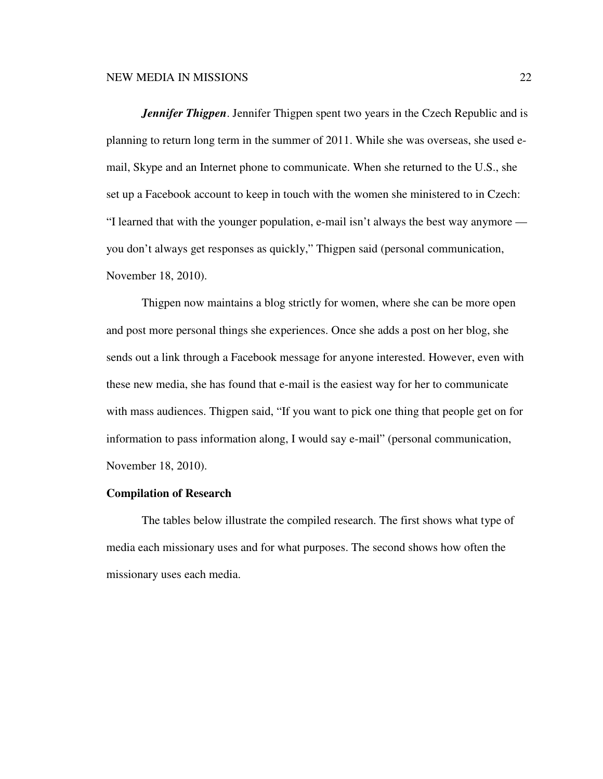*Jennifer Thigpen*. Jennifer Thigpen spent two years in the Czech Republic and is planning to return long term in the summer of 2011. While she was overseas, she used email, Skype and an Internet phone to communicate. When she returned to the U.S., she set up a Facebook account to keep in touch with the women she ministered to in Czech: "I learned that with the younger population, e-mail isn't always the best way anymore you don't always get responses as quickly," Thigpen said (personal communication, November 18, 2010).

Thigpen now maintains a blog strictly for women, where she can be more open and post more personal things she experiences. Once she adds a post on her blog, she sends out a link through a Facebook message for anyone interested. However, even with these new media, she has found that e-mail is the easiest way for her to communicate with mass audiences. Thigpen said, "If you want to pick one thing that people get on for information to pass information along, I would say e-mail" (personal communication, November 18, 2010).

## **Compilation of Research**

The tables below illustrate the compiled research. The first shows what type of media each missionary uses and for what purposes. The second shows how often the missionary uses each media.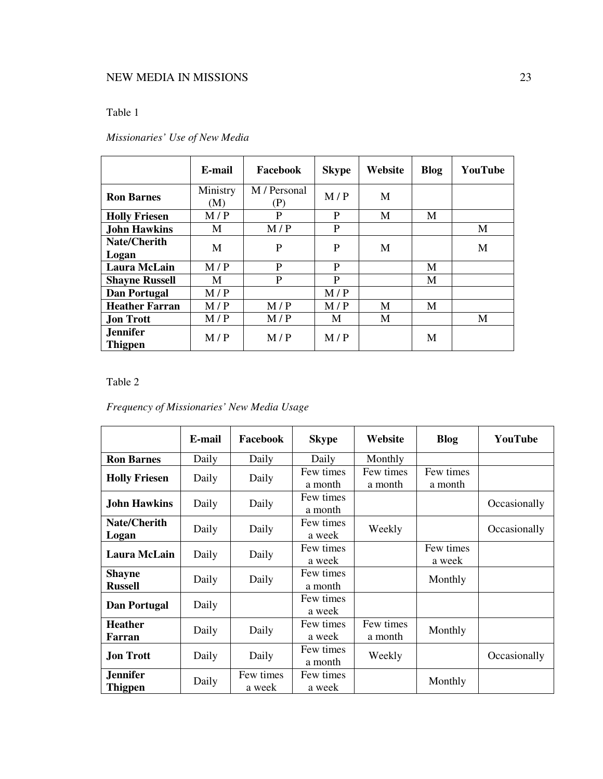# Table 1

|                                   | E-mail          | Facebook            | <b>Skype</b> | Website | <b>Blog</b> | YouTube |
|-----------------------------------|-----------------|---------------------|--------------|---------|-------------|---------|
| <b>Ron Barnes</b>                 | Ministry<br>(M) | M / Personal<br>(P) | M/P          | М       |             |         |
| <b>Holly Friesen</b>              | M/P             | P                   | P            | M       | М           |         |
| <b>John Hawkins</b>               | M               | M/P                 | P            |         |             | M       |
| <b>Nate/Cherith</b><br>Logan      | M               | P                   | P            | M       |             | M       |
| Laura McLain                      | M/P             | P                   | P            |         | М           |         |
| <b>Shayne Russell</b>             | М               | P                   | P            |         | M           |         |
| <b>Dan Portugal</b>               | M/P             |                     | M/P          |         |             |         |
| <b>Heather Farran</b>             | M/P             | M/P                 | M/P          | M       | M           |         |
| <b>Jon Trott</b>                  | M/P             | M/P                 | M            | M       |             | M       |
| <b>Jennifer</b><br><b>Thigpen</b> | M/P             | M/P                 | M/P          |         | М           |         |

# *Missionaries' Use of New Media*

Table 2

|  | Frequency of Missionaries' New Media Usage |  |  |  |
|--|--------------------------------------------|--|--|--|
|--|--------------------------------------------|--|--|--|

|                      | E-mail | Facebook  | <b>Skype</b> | Website   | <b>Blog</b> | YouTube      |
|----------------------|--------|-----------|--------------|-----------|-------------|--------------|
| <b>Ron Barnes</b>    | Daily  | Daily     | Daily        | Monthly   |             |              |
| <b>Holly Friesen</b> | Daily  | Daily     | Few times    | Few times | Few times   |              |
|                      |        |           | a month      | a month   | a month     |              |
| <b>John Hawkins</b>  | Daily  | Daily     | Few times    |           |             | Occasionally |
|                      |        |           | a month      |           |             |              |
| <b>Nate/Cherith</b>  | Daily  | Daily     | Few times    | Weekly    |             | Occasionally |
| Logan                |        |           | a week       |           |             |              |
| <b>Laura McLain</b>  | Daily  | Daily     | Few times    |           | Few times   |              |
|                      |        |           | a week       |           | a week      |              |
| <b>Shayne</b>        | Daily  | Daily     | Few times    |           | Monthly     |              |
| <b>Russell</b>       |        |           | a month      |           |             |              |
| <b>Dan Portugal</b>  | Daily  |           | Few times    |           |             |              |
|                      |        |           | a week       |           |             |              |
| <b>Heather</b>       |        | Daily     | Few times    | Few times |             |              |
| Farran               | Daily  |           | a week       | a month   | Monthly     |              |
| <b>Jon Trott</b>     | Daily  | Daily     | Few times    |           |             |              |
|                      |        |           | a month      | Weekly    |             | Occasionally |
| Jennifer             | Daily  | Few times | Few times    |           | Monthly     |              |
| <b>Thigpen</b>       |        | a week    | a week       |           |             |              |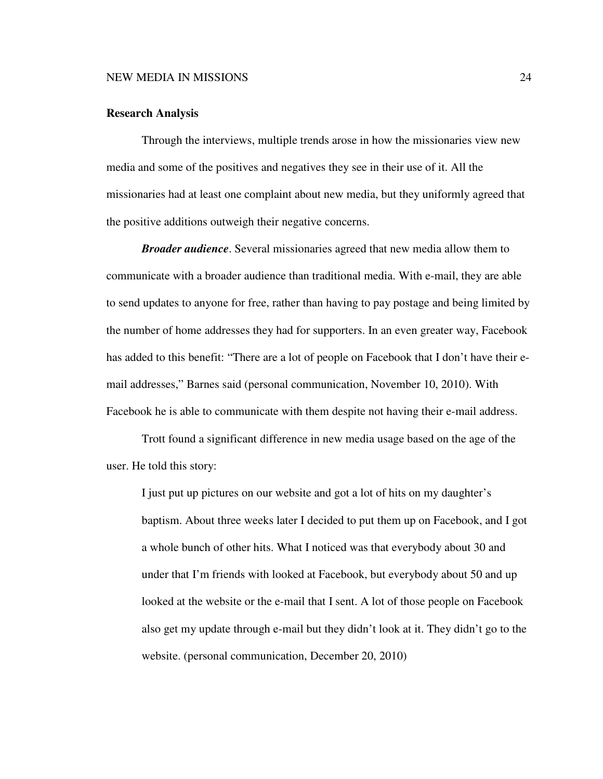### **Research Analysis**

Through the interviews, multiple trends arose in how the missionaries view new media and some of the positives and negatives they see in their use of it. All the missionaries had at least one complaint about new media, but they uniformly agreed that the positive additions outweigh their negative concerns.

*Broader audience*. Several missionaries agreed that new media allow them to communicate with a broader audience than traditional media. With e-mail, they are able to send updates to anyone for free, rather than having to pay postage and being limited by the number of home addresses they had for supporters. In an even greater way, Facebook has added to this benefit: "There are a lot of people on Facebook that I don't have their email addresses," Barnes said (personal communication, November 10, 2010). With Facebook he is able to communicate with them despite not having their e-mail address.

Trott found a significant difference in new media usage based on the age of the user. He told this story:

I just put up pictures on our website and got a lot of hits on my daughter's baptism. About three weeks later I decided to put them up on Facebook, and I got a whole bunch of other hits. What I noticed was that everybody about 30 and under that I'm friends with looked at Facebook, but everybody about 50 and up looked at the website or the e-mail that I sent. A lot of those people on Facebook also get my update through e-mail but they didn't look at it. They didn't go to the website. (personal communication, December 20, 2010)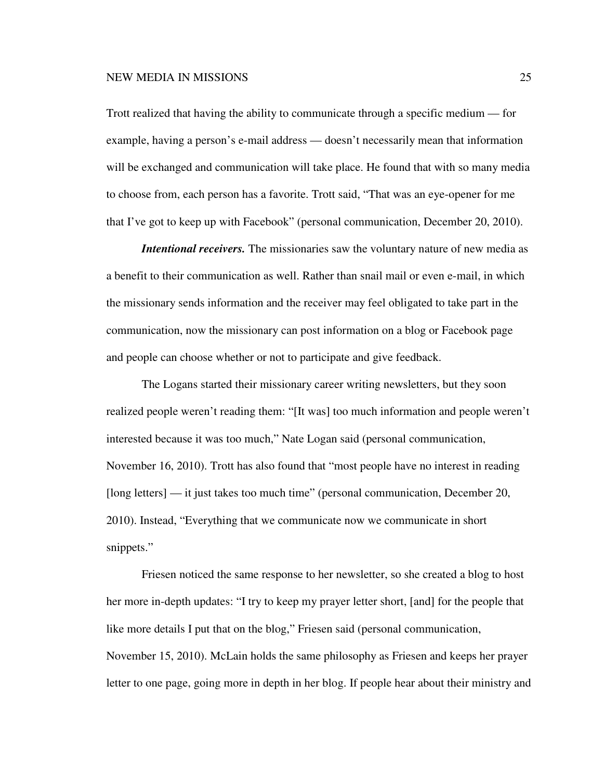Trott realized that having the ability to communicate through a specific medium — for example, having a person's e-mail address — doesn't necessarily mean that information will be exchanged and communication will take place. He found that with so many media to choose from, each person has a favorite. Trott said, "That was an eye-opener for me that I've got to keep up with Facebook" (personal communication, December 20, 2010).

*Intentional receivers.* The missionaries saw the voluntary nature of new media as a benefit to their communication as well. Rather than snail mail or even e-mail, in which the missionary sends information and the receiver may feel obligated to take part in the communication, now the missionary can post information on a blog or Facebook page and people can choose whether or not to participate and give feedback.

The Logans started their missionary career writing newsletters, but they soon realized people weren't reading them: "[It was] too much information and people weren't interested because it was too much," Nate Logan said (personal communication, November 16, 2010). Trott has also found that "most people have no interest in reading [long letters] — it just takes too much time" (personal communication, December 20, 2010). Instead, "Everything that we communicate now we communicate in short snippets."

Friesen noticed the same response to her newsletter, so she created a blog to host her more in-depth updates: "I try to keep my prayer letter short, [and] for the people that like more details I put that on the blog," Friesen said (personal communication, November 15, 2010). McLain holds the same philosophy as Friesen and keeps her prayer letter to one page, going more in depth in her blog. If people hear about their ministry and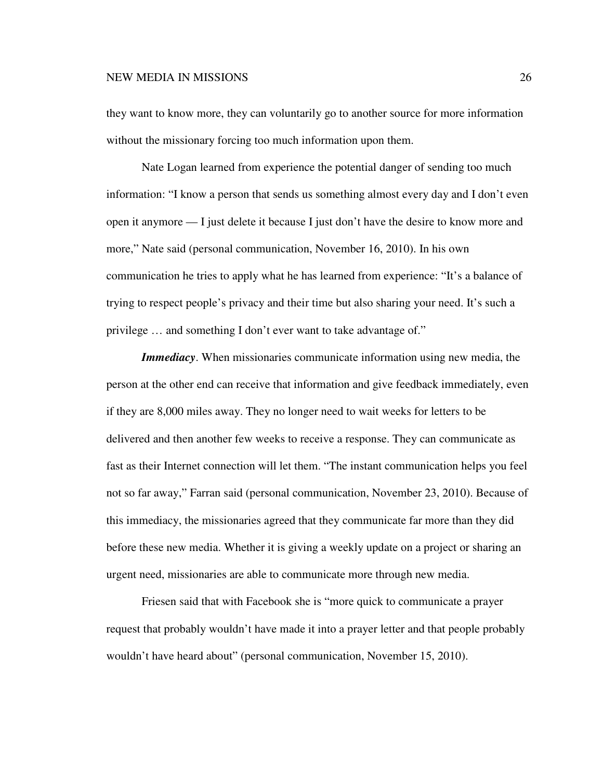they want to know more, they can voluntarily go to another source for more information without the missionary forcing too much information upon them.

Nate Logan learned from experience the potential danger of sending too much information: "I know a person that sends us something almost every day and I don't even open it anymore — I just delete it because I just don't have the desire to know more and more," Nate said (personal communication, November 16, 2010). In his own communication he tries to apply what he has learned from experience: "It's a balance of trying to respect people's privacy and their time but also sharing your need. It's such a privilege … and something I don't ever want to take advantage of."

*Immediacy*. When missionaries communicate information using new media, the person at the other end can receive that information and give feedback immediately, even if they are 8,000 miles away. They no longer need to wait weeks for letters to be delivered and then another few weeks to receive a response. They can communicate as fast as their Internet connection will let them. "The instant communication helps you feel not so far away," Farran said (personal communication, November 23, 2010). Because of this immediacy, the missionaries agreed that they communicate far more than they did before these new media. Whether it is giving a weekly update on a project or sharing an urgent need, missionaries are able to communicate more through new media.

Friesen said that with Facebook she is "more quick to communicate a prayer request that probably wouldn't have made it into a prayer letter and that people probably wouldn't have heard about" (personal communication, November 15, 2010).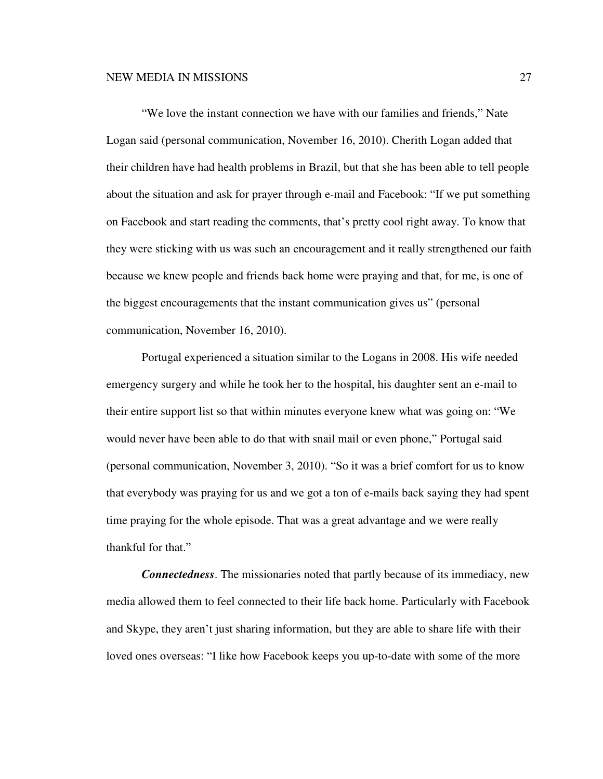"We love the instant connection we have with our families and friends," Nate Logan said (personal communication, November 16, 2010). Cherith Logan added that their children have had health problems in Brazil, but that she has been able to tell people about the situation and ask for prayer through e-mail and Facebook: "If we put something on Facebook and start reading the comments, that's pretty cool right away. To know that they were sticking with us was such an encouragement and it really strengthened our faith because we knew people and friends back home were praying and that, for me, is one of the biggest encouragements that the instant communication gives us" (personal communication, November 16, 2010).

Portugal experienced a situation similar to the Logans in 2008. His wife needed emergency surgery and while he took her to the hospital, his daughter sent an e-mail to their entire support list so that within minutes everyone knew what was going on: "We would never have been able to do that with snail mail or even phone," Portugal said (personal communication, November 3, 2010). "So it was a brief comfort for us to know that everybody was praying for us and we got a ton of e-mails back saying they had spent time praying for the whole episode. That was a great advantage and we were really thankful for that."

*Connectedness*. The missionaries noted that partly because of its immediacy, new media allowed them to feel connected to their life back home. Particularly with Facebook and Skype, they aren't just sharing information, but they are able to share life with their loved ones overseas: "I like how Facebook keeps you up-to-date with some of the more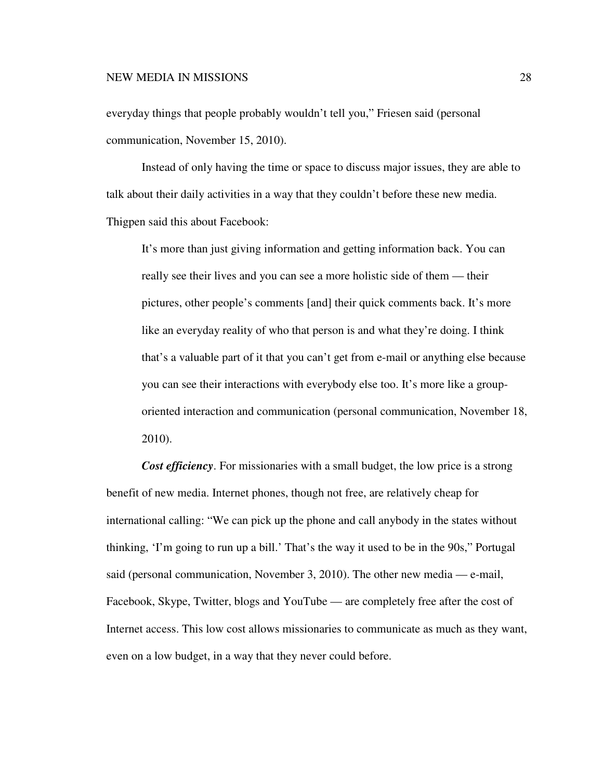everyday things that people probably wouldn't tell you," Friesen said (personal communication, November 15, 2010).

Instead of only having the time or space to discuss major issues, they are able to talk about their daily activities in a way that they couldn't before these new media. Thigpen said this about Facebook:

It's more than just giving information and getting information back. You can really see their lives and you can see a more holistic side of them — their pictures, other people's comments [and] their quick comments back. It's more like an everyday reality of who that person is and what they're doing. I think that's a valuable part of it that you can't get from e-mail or anything else because you can see their interactions with everybody else too. It's more like a grouporiented interaction and communication (personal communication, November 18, 2010).

*Cost efficiency*. For missionaries with a small budget, the low price is a strong benefit of new media. Internet phones, though not free, are relatively cheap for international calling: "We can pick up the phone and call anybody in the states without thinking, 'I'm going to run up a bill.' That's the way it used to be in the 90s," Portugal said (personal communication, November 3, 2010). The other new media — e-mail, Facebook, Skype, Twitter, blogs and YouTube — are completely free after the cost of Internet access. This low cost allows missionaries to communicate as much as they want, even on a low budget, in a way that they never could before.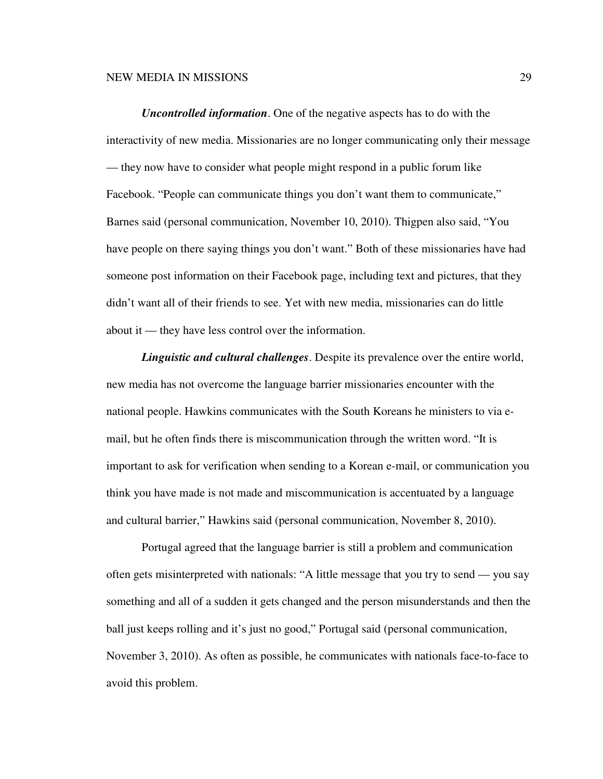*Uncontrolled information*. One of the negative aspects has to do with the interactivity of new media. Missionaries are no longer communicating only their message — they now have to consider what people might respond in a public forum like Facebook. "People can communicate things you don't want them to communicate," Barnes said (personal communication, November 10, 2010). Thigpen also said, "You have people on there saying things you don't want." Both of these missionaries have had someone post information on their Facebook page, including text and pictures, that they didn't want all of their friends to see. Yet with new media, missionaries can do little about it — they have less control over the information.

*Linguistic and cultural challenges*. Despite its prevalence over the entire world, new media has not overcome the language barrier missionaries encounter with the national people. Hawkins communicates with the South Koreans he ministers to via email, but he often finds there is miscommunication through the written word. "It is important to ask for verification when sending to a Korean e-mail, or communication you think you have made is not made and miscommunication is accentuated by a language and cultural barrier," Hawkins said (personal communication, November 8, 2010).

Portugal agreed that the language barrier is still a problem and communication often gets misinterpreted with nationals: "A little message that you try to send — you say something and all of a sudden it gets changed and the person misunderstands and then the ball just keeps rolling and it's just no good," Portugal said (personal communication, November 3, 2010). As often as possible, he communicates with nationals face-to-face to avoid this problem.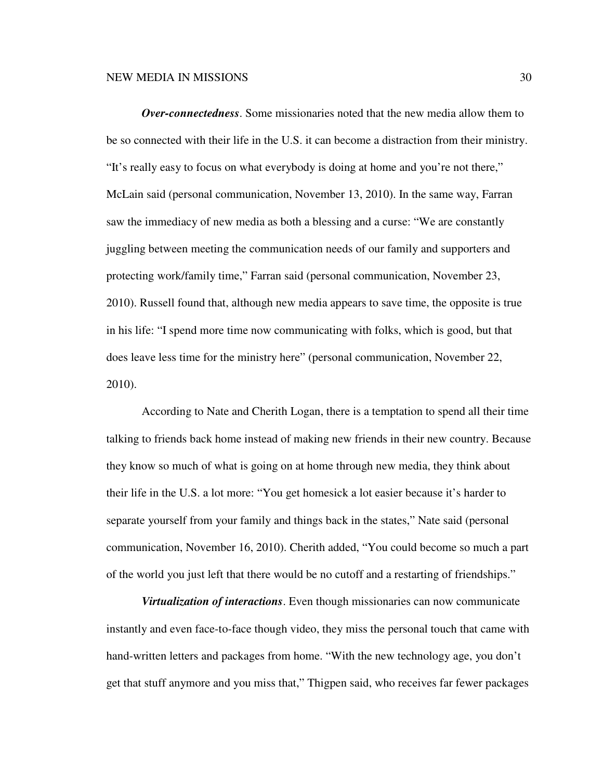*Over-connectedness*. Some missionaries noted that the new media allow them to be so connected with their life in the U.S. it can become a distraction from their ministry. "It's really easy to focus on what everybody is doing at home and you're not there," McLain said (personal communication, November 13, 2010). In the same way, Farran saw the immediacy of new media as both a blessing and a curse: "We are constantly juggling between meeting the communication needs of our family and supporters and protecting work/family time," Farran said (personal communication, November 23, 2010). Russell found that, although new media appears to save time, the opposite is true in his life: "I spend more time now communicating with folks, which is good, but that does leave less time for the ministry here" (personal communication, November 22, 2010).

According to Nate and Cherith Logan, there is a temptation to spend all their time talking to friends back home instead of making new friends in their new country. Because they know so much of what is going on at home through new media, they think about their life in the U.S. a lot more: "You get homesick a lot easier because it's harder to separate yourself from your family and things back in the states," Nate said (personal communication, November 16, 2010). Cherith added, "You could become so much a part of the world you just left that there would be no cutoff and a restarting of friendships."

*Virtualization of interactions*. Even though missionaries can now communicate instantly and even face-to-face though video, they miss the personal touch that came with hand-written letters and packages from home. "With the new technology age, you don't get that stuff anymore and you miss that," Thigpen said, who receives far fewer packages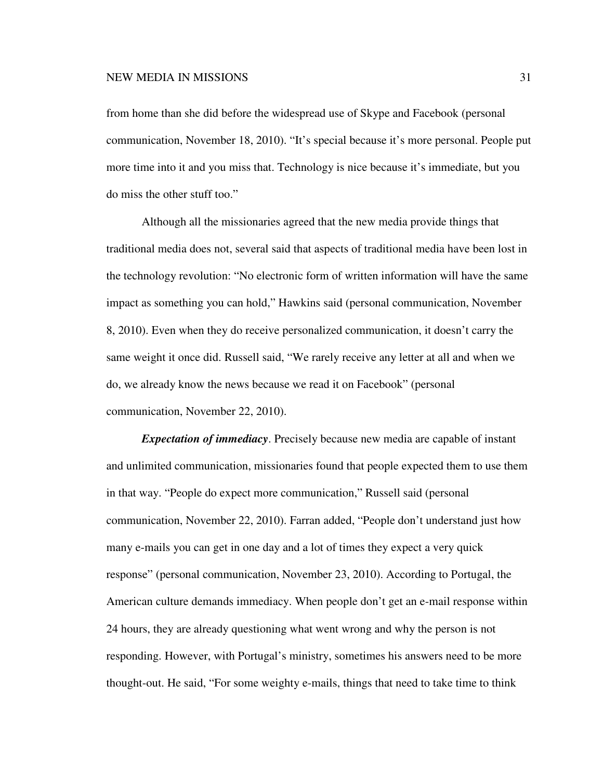from home than she did before the widespread use of Skype and Facebook (personal communication, November 18, 2010). "It's special because it's more personal. People put more time into it and you miss that. Technology is nice because it's immediate, but you do miss the other stuff too."

Although all the missionaries agreed that the new media provide things that traditional media does not, several said that aspects of traditional media have been lost in the technology revolution: "No electronic form of written information will have the same impact as something you can hold," Hawkins said (personal communication, November 8, 2010). Even when they do receive personalized communication, it doesn't carry the same weight it once did. Russell said, "We rarely receive any letter at all and when we do, we already know the news because we read it on Facebook" (personal communication, November 22, 2010).

*Expectation of immediacy*. Precisely because new media are capable of instant and unlimited communication, missionaries found that people expected them to use them in that way. "People do expect more communication," Russell said (personal communication, November 22, 2010). Farran added, "People don't understand just how many e-mails you can get in one day and a lot of times they expect a very quick response" (personal communication, November 23, 2010). According to Portugal, the American culture demands immediacy. When people don't get an e-mail response within 24 hours, they are already questioning what went wrong and why the person is not responding. However, with Portugal's ministry, sometimes his answers need to be more thought-out. He said, "For some weighty e-mails, things that need to take time to think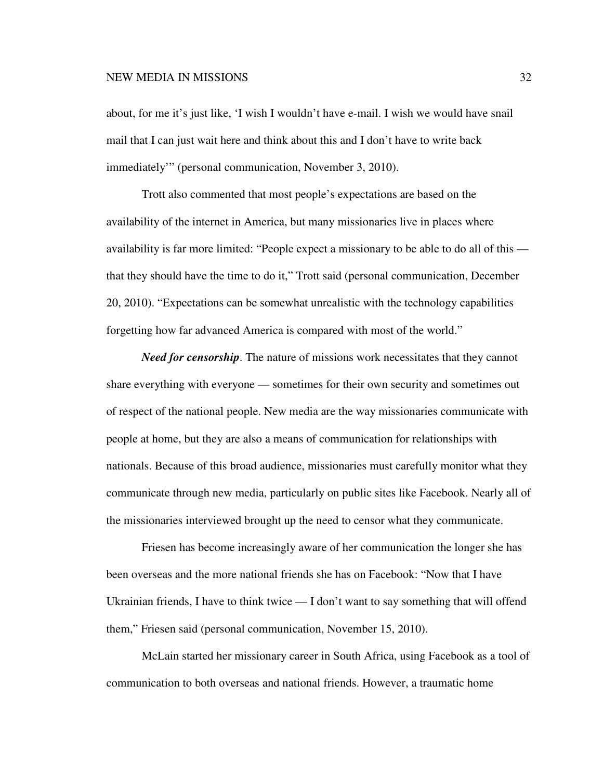about, for me it's just like, 'I wish I wouldn't have e-mail. I wish we would have snail mail that I can just wait here and think about this and I don't have to write back immediately'" (personal communication, November 3, 2010).

Trott also commented that most people's expectations are based on the availability of the internet in America, but many missionaries live in places where availability is far more limited: "People expect a missionary to be able to do all of this that they should have the time to do it," Trott said (personal communication, December 20, 2010). "Expectations can be somewhat unrealistic with the technology capabilities forgetting how far advanced America is compared with most of the world."

*Need for censorship*. The nature of missions work necessitates that they cannot share everything with everyone — sometimes for their own security and sometimes out of respect of the national people. New media are the way missionaries communicate with people at home, but they are also a means of communication for relationships with nationals. Because of this broad audience, missionaries must carefully monitor what they communicate through new media, particularly on public sites like Facebook. Nearly all of the missionaries interviewed brought up the need to censor what they communicate.

Friesen has become increasingly aware of her communication the longer she has been overseas and the more national friends she has on Facebook: "Now that I have Ukrainian friends, I have to think twice — I don't want to say something that will offend them," Friesen said (personal communication, November 15, 2010).

McLain started her missionary career in South Africa, using Facebook as a tool of communication to both overseas and national friends. However, a traumatic home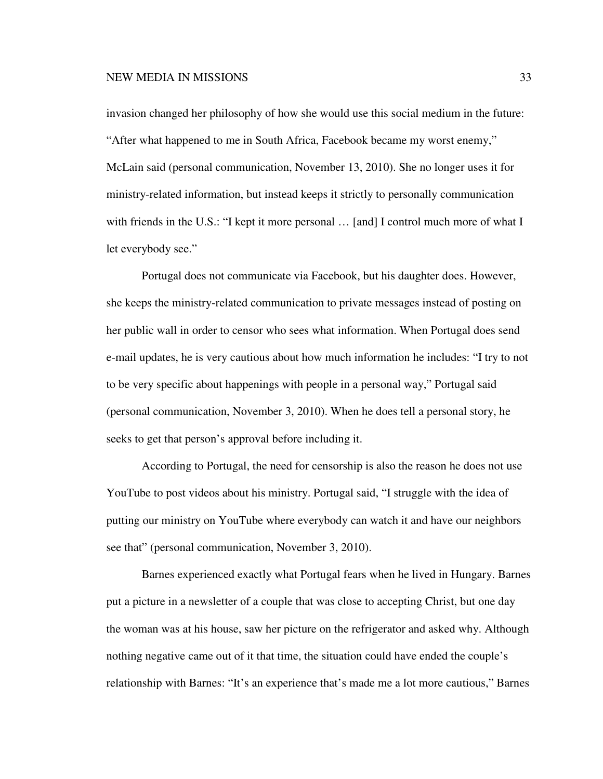invasion changed her philosophy of how she would use this social medium in the future: "After what happened to me in South Africa, Facebook became my worst enemy," McLain said (personal communication, November 13, 2010). She no longer uses it for ministry-related information, but instead keeps it strictly to personally communication with friends in the U.S.: "I kept it more personal ... [and] I control much more of what I let everybody see."

Portugal does not communicate via Facebook, but his daughter does. However, she keeps the ministry-related communication to private messages instead of posting on her public wall in order to censor who sees what information. When Portugal does send e-mail updates, he is very cautious about how much information he includes: "I try to not to be very specific about happenings with people in a personal way," Portugal said (personal communication, November 3, 2010). When he does tell a personal story, he seeks to get that person's approval before including it.

According to Portugal, the need for censorship is also the reason he does not use YouTube to post videos about his ministry. Portugal said, "I struggle with the idea of putting our ministry on YouTube where everybody can watch it and have our neighbors see that" (personal communication, November 3, 2010).

Barnes experienced exactly what Portugal fears when he lived in Hungary. Barnes put a picture in a newsletter of a couple that was close to accepting Christ, but one day the woman was at his house, saw her picture on the refrigerator and asked why. Although nothing negative came out of it that time, the situation could have ended the couple's relationship with Barnes: "It's an experience that's made me a lot more cautious," Barnes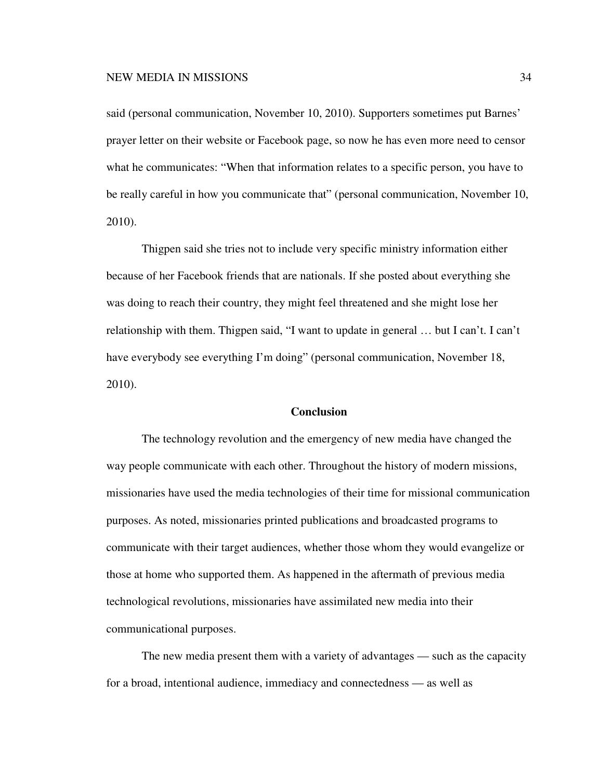said (personal communication, November 10, 2010). Supporters sometimes put Barnes' prayer letter on their website or Facebook page, so now he has even more need to censor what he communicates: "When that information relates to a specific person, you have to be really careful in how you communicate that" (personal communication, November 10, 2010).

Thigpen said she tries not to include very specific ministry information either because of her Facebook friends that are nationals. If she posted about everything she was doing to reach their country, they might feel threatened and she might lose her relationship with them. Thigpen said, "I want to update in general … but I can't. I can't have everybody see everything I'm doing" (personal communication, November 18, 2010).

## **Conclusion**

The technology revolution and the emergency of new media have changed the way people communicate with each other. Throughout the history of modern missions, missionaries have used the media technologies of their time for missional communication purposes. As noted, missionaries printed publications and broadcasted programs to communicate with their target audiences, whether those whom they would evangelize or those at home who supported them. As happened in the aftermath of previous media technological revolutions, missionaries have assimilated new media into their communicational purposes.

The new media present them with a variety of advantages — such as the capacity for a broad, intentional audience, immediacy and connectedness — as well as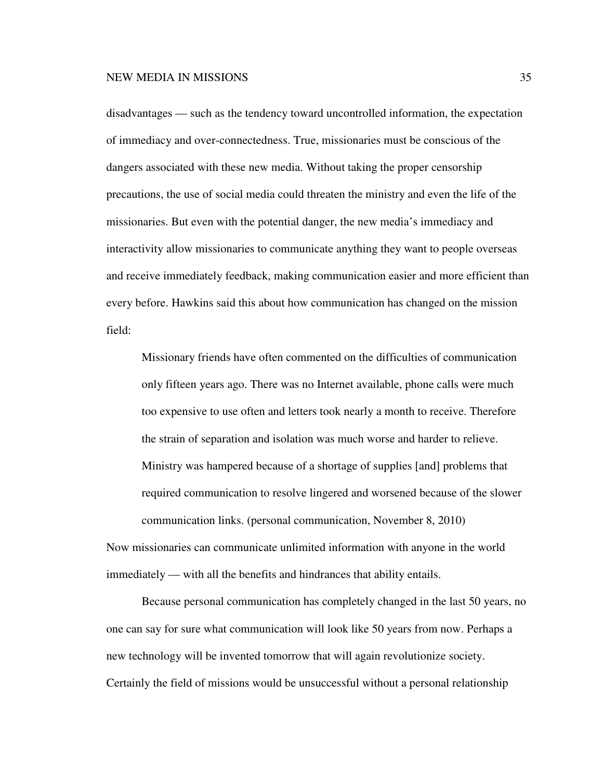disadvantages — such as the tendency toward uncontrolled information, the expectation of immediacy and over-connectedness. True, missionaries must be conscious of the dangers associated with these new media. Without taking the proper censorship precautions, the use of social media could threaten the ministry and even the life of the missionaries. But even with the potential danger, the new media's immediacy and interactivity allow missionaries to communicate anything they want to people overseas and receive immediately feedback, making communication easier and more efficient than every before. Hawkins said this about how communication has changed on the mission field:

Missionary friends have often commented on the difficulties of communication only fifteen years ago. There was no Internet available, phone calls were much too expensive to use often and letters took nearly a month to receive. Therefore the strain of separation and isolation was much worse and harder to relieve. Ministry was hampered because of a shortage of supplies [and] problems that required communication to resolve lingered and worsened because of the slower communication links. (personal communication, November 8, 2010)

Now missionaries can communicate unlimited information with anyone in the world immediately — with all the benefits and hindrances that ability entails.

 Because personal communication has completely changed in the last 50 years, no one can say for sure what communication will look like 50 years from now. Perhaps a new technology will be invented tomorrow that will again revolutionize society. Certainly the field of missions would be unsuccessful without a personal relationship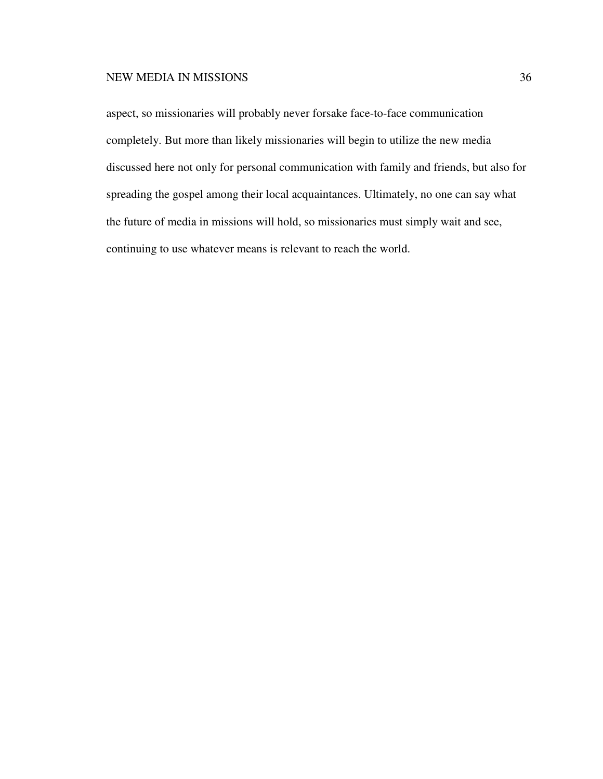aspect, so missionaries will probably never forsake face-to-face communication completely. But more than likely missionaries will begin to utilize the new media discussed here not only for personal communication with family and friends, but also for spreading the gospel among their local acquaintances. Ultimately, no one can say what the future of media in missions will hold, so missionaries must simply wait and see, continuing to use whatever means is relevant to reach the world.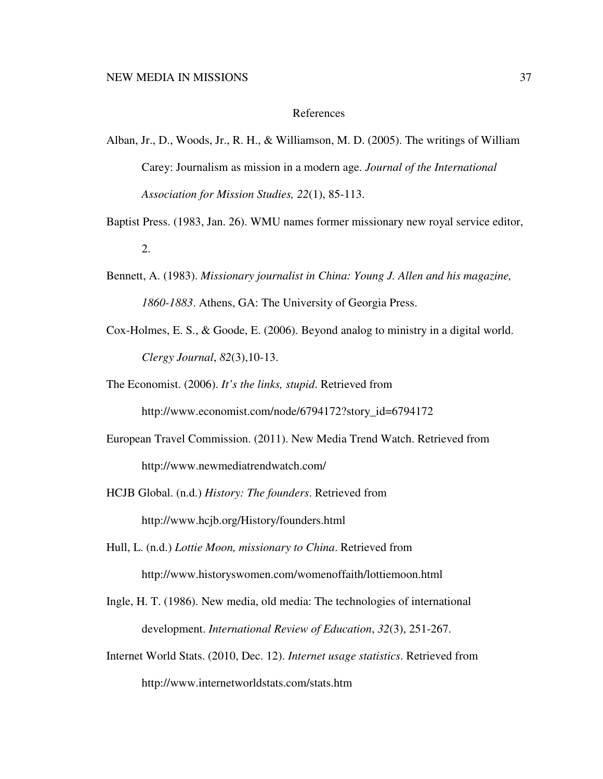#### References

- Alban, Jr., D., Woods, Jr., R. H., & Williamson, M. D. (2005). The writings of William Carey: Journalism as mission in a modern age. *Journal of the International Association for Mission Studies, 22*(1), 85-113.
- Baptist Press. (1983, Jan. 26). WMU names former missionary new royal service editor, 2.
- Bennett, A. (1983). *Missionary journalist in China: Young J. Allen and his magazine, 1860-1883*. Athens, GA: The University of Georgia Press.
- Cox-Holmes, E. S., & Goode, E. (2006). Beyond analog to ministry in a digital world. *Clergy Journal*, *82*(3),10-13.
- The Economist. (2006). *It's the links, stupid*. Retrieved from http://www.economist.com/node/6794172?story\_id=6794172
- European Travel Commission. (2011). New Media Trend Watch. Retrieved from http://www.newmediatrendwatch.com/
- HCJB Global. (n.d.) *History: The founders*. Retrieved from http://www.hcjb.org/History/founders.html
- Hull, L. (n.d.) *Lottie Moon, missionary to China*. Retrieved from http://www.historyswomen.com/womenoffaith/lottiemoon.html
- Ingle, H. T. (1986). New media, old media: The technologies of international development. *International Review of Education*, *32*(3), 251-267.
- Internet World Stats. (2010, Dec. 12). *Internet usage statistics*. Retrieved from http://www.internetworldstats.com/stats.htm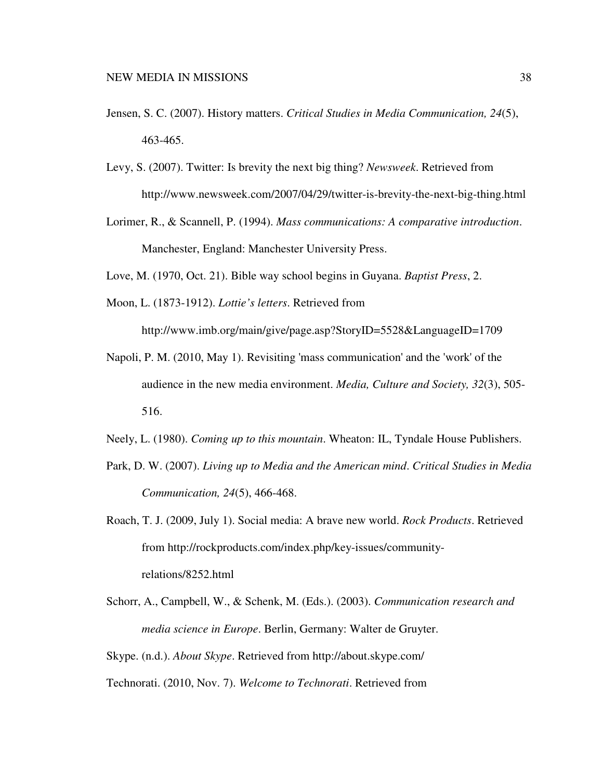- Jensen, S. C. (2007). History matters. *Critical Studies in Media Communication, 24*(5), 463-465.
- Levy, S. (2007). Twitter: Is brevity the next big thing? *Newsweek*. Retrieved from http://www.newsweek.com/2007/04/29/twitter-is-brevity-the-next-big-thing.html
- Lorimer, R., & Scannell, P. (1994). *Mass communications: A comparative introduction*. Manchester, England: Manchester University Press.
- Love, M. (1970, Oct. 21). Bible way school begins in Guyana. *Baptist Press*, 2.
- Moon, L. (1873-1912). *Lottie's letters*. Retrieved from http://www.imb.org/main/give/page.asp?StoryID=5528&LanguageID=1709
- Napoli, P. M. (2010, May 1). Revisiting 'mass communication' and the 'work' of the audience in the new media environment. *Media, Culture and Society, 32*(3), 505- 516.
- Neely, L. (1980). *Coming up to this mountain*. Wheaton: IL, Tyndale House Publishers.
- Park, D. W. (2007). *Living up to Media and the American mind*. *Critical Studies in Media Communication, 24*(5), 466-468.
- Roach, T. J. (2009, July 1). Social media: A brave new world. *Rock Products*. Retrieved from http://rockproducts.com/index.php/key-issues/communityrelations/8252.html
- Schorr, A., Campbell, W., & Schenk, M. (Eds.). (2003). *Communication research and media science in Europe*. Berlin, Germany: Walter de Gruyter.
- Skype. (n.d.). *About Skype*. Retrieved from http://about.skype.com/

Technorati. (2010, Nov. 7). *Welcome to Technorati*. Retrieved from